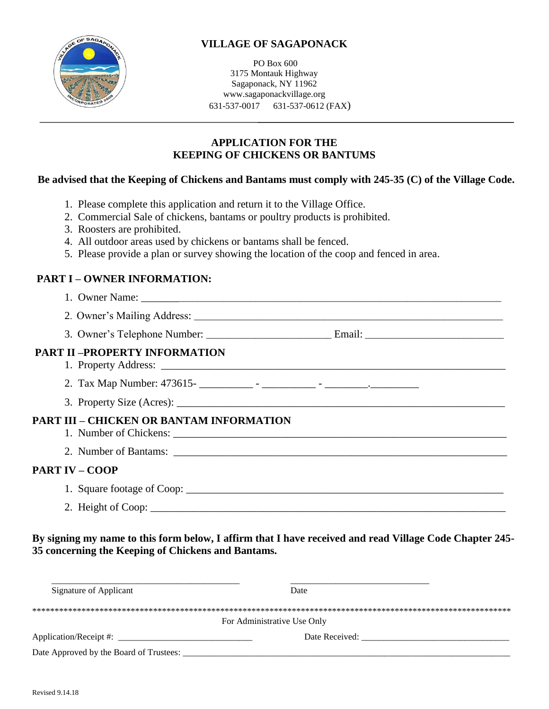

# **VILLAGE OF SAGAPONACK**

PO Box 600 3175 Montauk Highway Sagaponack, NY 11962 www.sagaponackvillage.org 631-537-0017 631-537-0612 (FAX)

## **APPLICATION FOR THE KEEPING OF CHICKENS OR BANTUMS**

#### **Be advised that the Keeping of Chickens and Bantams must comply with 245-35 (C) of the Village Code.**

- 1. Please complete this application and return it to the Village Office.
- 2. Commercial Sale of chickens, bantams or poultry products is prohibited.
- 3. Roosters are prohibited.
- 4. All outdoor areas used by chickens or bantams shall be fenced.
- 5. Please provide a plan or survey showing the location of the coop and fenced in area.

## **PART I – OWNER INFORMATION:**

- 1. Owner Name: \_\_\_\_\_\_\_\_\_\_\_\_\_\_\_\_\_\_\_\_\_\_\_\_\_\_\_\_\_\_\_\_\_\_\_\_\_\_\_\_\_\_\_\_\_\_\_\_\_\_\_\_\_\_\_\_\_\_\_\_\_\_\_\_\_\_\_\_\_\_\_\_\_\_\_\_\_\_\_
- 2. Owner's Mailing Address:
- 3. Owner's Telephone Number: \_\_\_\_\_\_\_\_\_\_\_\_\_\_\_\_\_\_\_\_\_\_\_\_\_\_\_\_ Email: \_\_\_\_\_\_\_\_\_\_\_\_\_\_\_\_\_\_\_\_\_\_\_\_\_\_\_\_\_\_\_

#### **PART II –PROPERTY INFORMATION**

- 1. Property Address:
- 2. Tax Map Number: 473615- \_\_\_\_\_\_\_\_\_\_ \_\_\_\_\_\_\_\_\_\_ \_\_\_\_\_\_\_\_.\_\_\_\_\_\_\_\_\_
- 3. Property Size (Acres):

# **PART III – CHICKEN OR BANTAM INFORMATION**

- 1. Number of Chickens: \_\_\_\_\_\_\_\_\_\_\_\_\_\_\_\_\_\_\_\_\_\_\_\_\_\_\_\_\_\_\_\_\_\_\_\_\_\_\_\_\_\_\_\_\_\_\_\_\_\_\_\_\_\_\_\_\_\_\_\_\_\_
- 2. Number of Bantams:

## **PART IV – COOP**

- 1. Square footage of Coop:
- 2. Height of Coop: \_\_\_\_\_\_\_\_\_\_\_\_\_\_\_\_\_\_\_\_\_\_\_\_\_\_\_\_\_\_\_\_\_\_\_\_\_\_\_\_\_\_\_\_\_\_\_\_\_\_\_\_\_\_\_\_\_\_\_\_\_\_\_\_\_\_

## **By signing my name to this form below, I affirm that I have received and read Village Code Chapter 245- 35 concerning the Keeping of Chickens and Bantams.**

| Signature of Applicant                  | <b>Date</b>    |
|-----------------------------------------|----------------|
| For Administrative Use Only             |                |
| Application/Receipt #:                  | Date Received: |
| Date Approved by the Board of Trustees: |                |